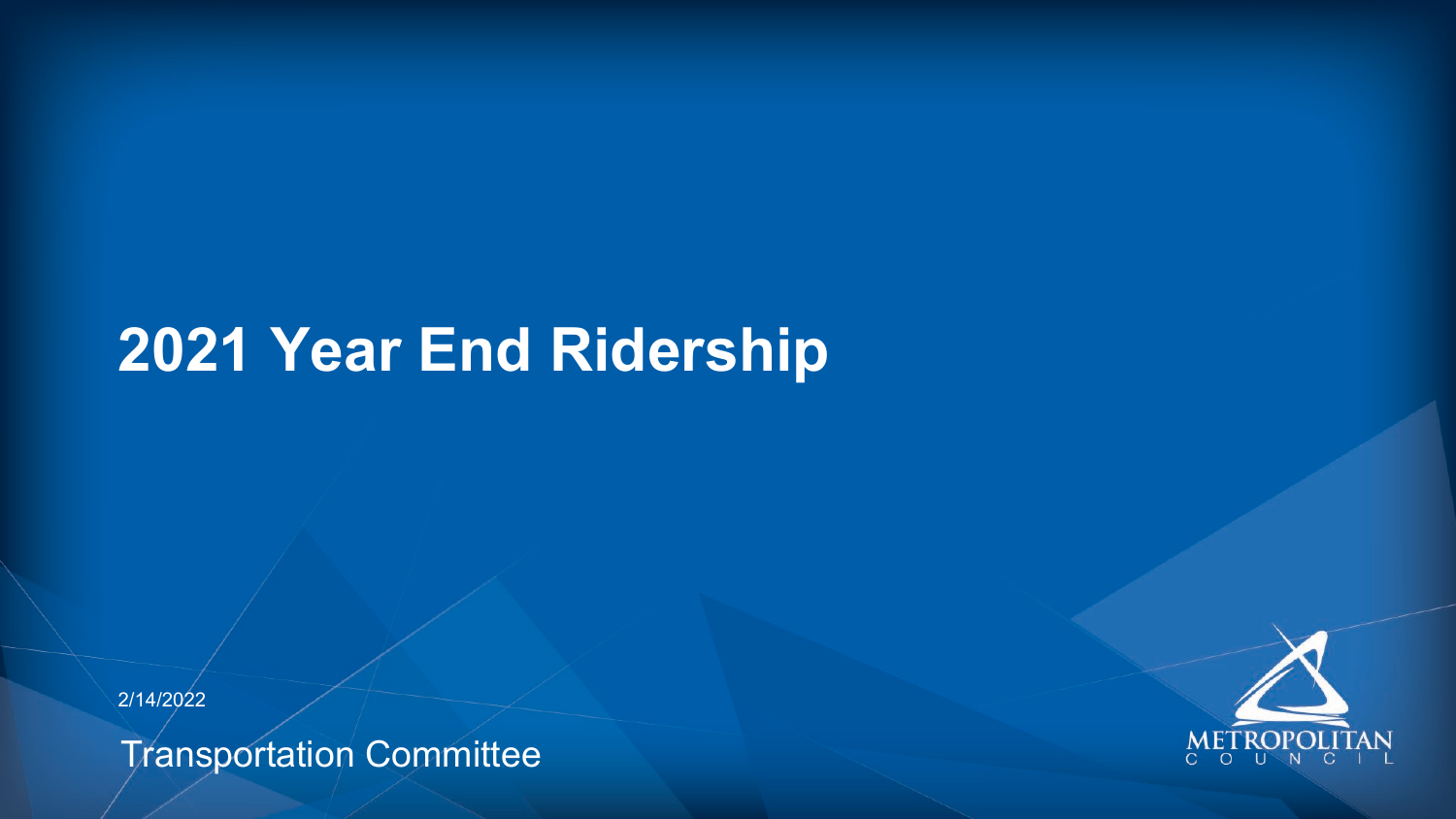Transportation Committee







## **2021 Year End Ridership**

2/14/2022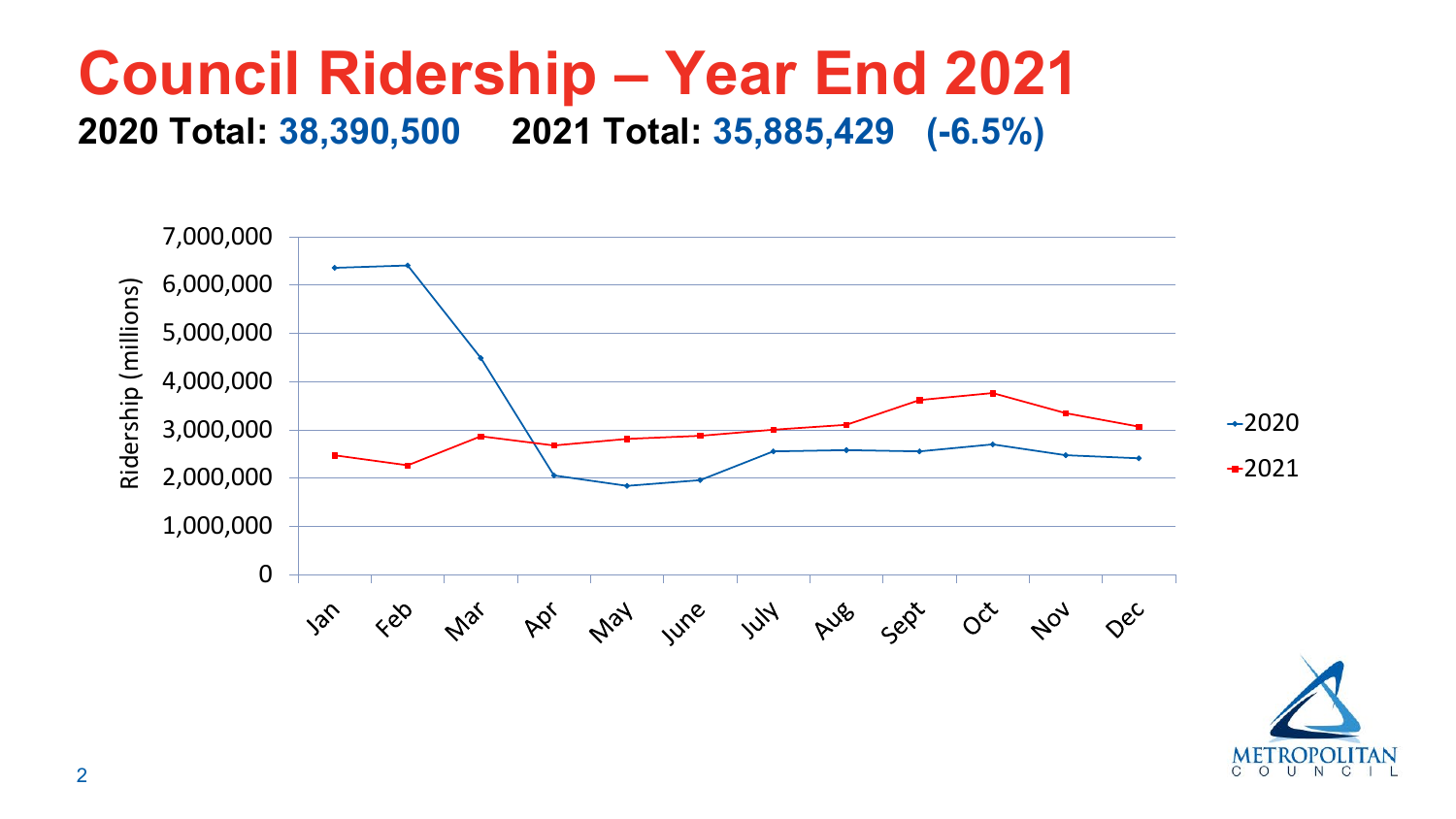

### **Council Ridership – Year End 2021 2020 Total: 38,390,500 2021 Total: 35,885,429 (-6.5%)**

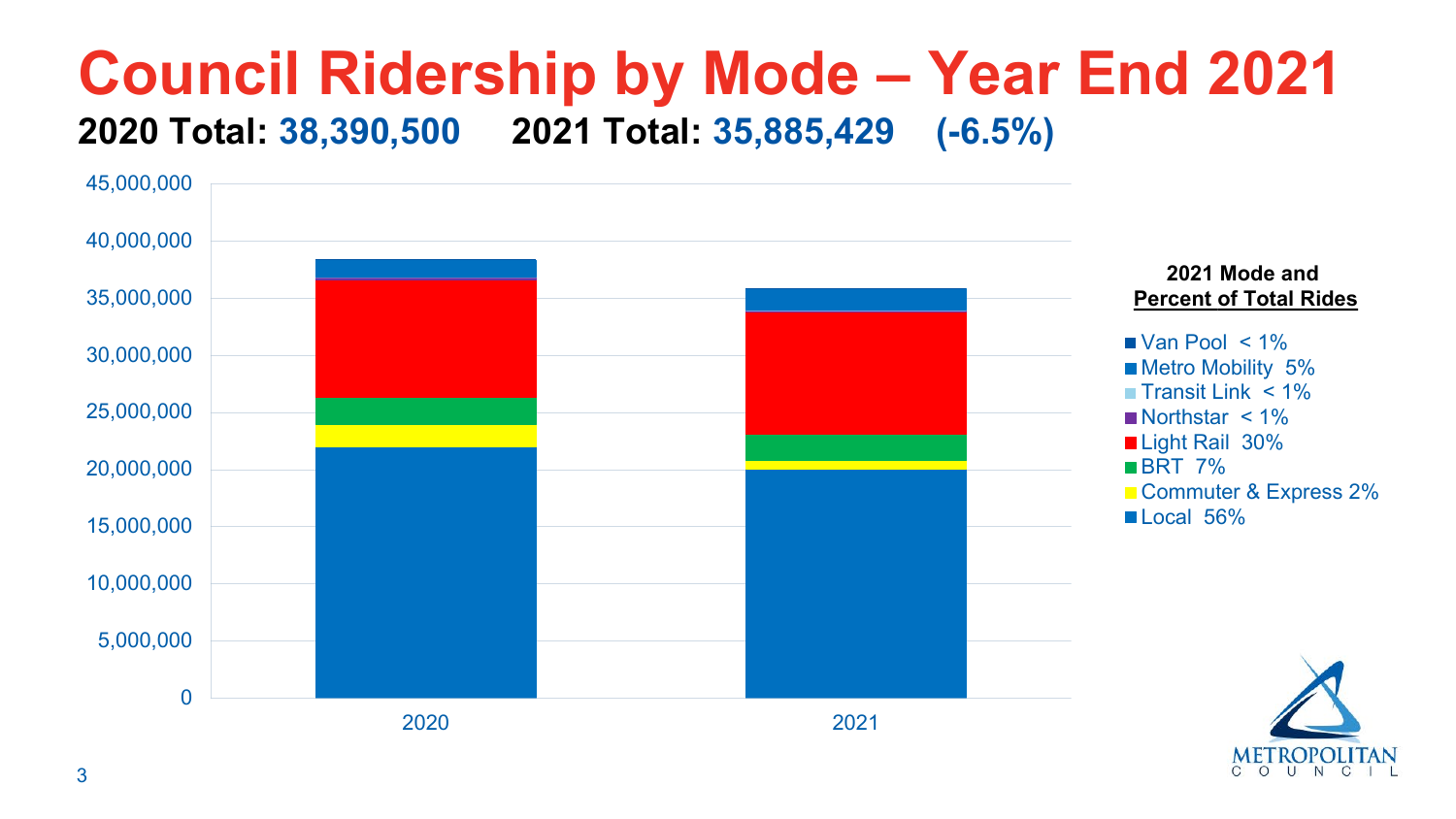3



### **Council Ridership by Mode – Year End 2021 2020 Total: 38,390,500 2021 Total: 35,885,429 (-6.5%)**



#### **2021 Mode and Percent of Total Rides**

 $\blacksquare$  Van Pool < 1% **Metro Mobility 5% Transit Link < 1%**  $\blacksquare$  Northstar < 1% Light Rail 30% **BRT 7%** ■ Commuter & Express 2% Local 56%



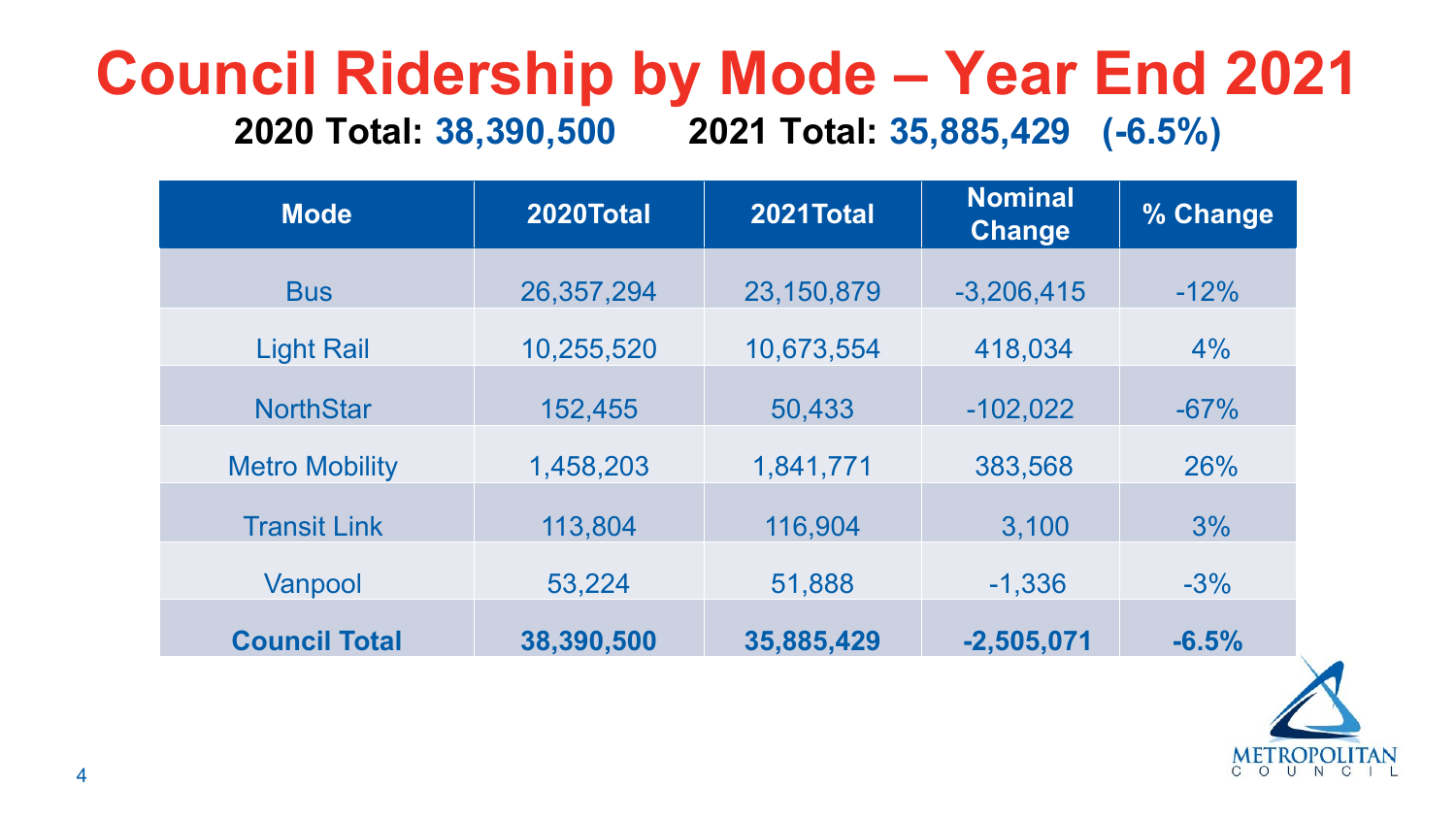

### **Council Ridership by Mode – Year End 2021 2020 Total: 38,390,500 2021 Total: 35,885,429 (-6.5%)**

| <b>Mode</b>           | <b>2020Total</b> | 2021Total    | <b>Nominal</b><br><b>Change</b> | % Change |
|-----------------------|------------------|--------------|---------------------------------|----------|
| <b>Bus</b>            | 26,357,294       | 23, 150, 879 | $-3,206,415$                    | $-12%$   |
| <b>Light Rail</b>     | 10,255,520       | 10,673,554   | 418,034                         | 4%       |
| <b>NorthStar</b>      | 152,455          | 50,433       | $-102,022$                      | $-67%$   |
| <b>Metro Mobility</b> | 1,458,203        | 1,841,771    | 383,568                         | 26%      |
| Transit Link          | 113,804          | 116,904      | 3,100                           | 3%       |
| Vanpool               | 53,224           | 51,888       | $-1,336$                        | $-3%$    |
| <b>Council Total</b>  | 38,390,500       | 35,885,429   | $-2,505,071$                    | $-6.5%$  |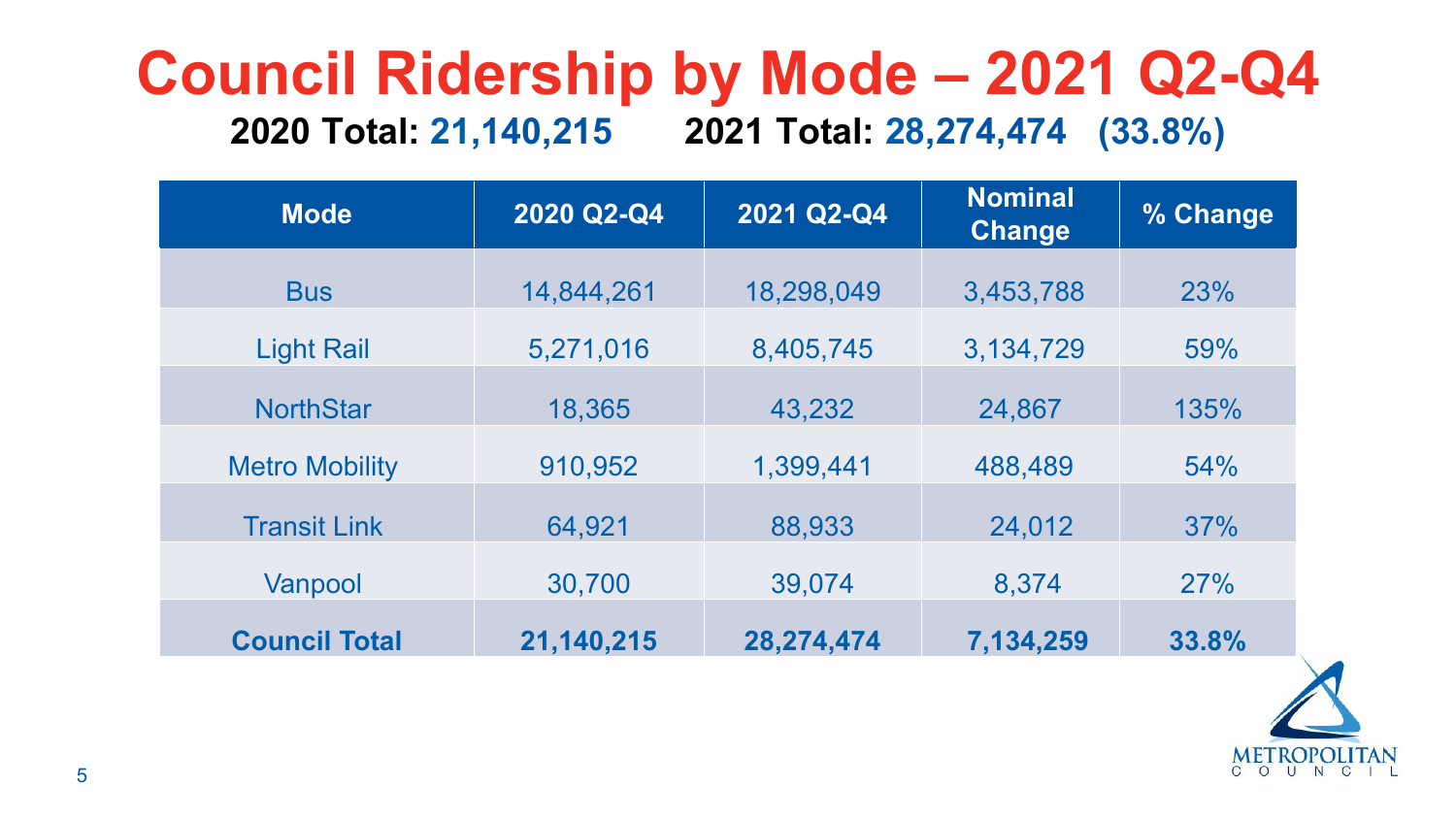

### **Council Ridership by Mode – 2021 Q2-Q4 2020 Total: 21,140,215 2021 Total: 28,274,474 (33.8%)**

| <b>Mode</b>           | 2020 Q2-Q4 | 2021 Q2-Q4 | <b>Nominal</b><br><b>Change</b> | % Change |
|-----------------------|------------|------------|---------------------------------|----------|
| <b>Bus</b>            | 14,844,261 | 18,298,049 | 3,453,788                       | 23%      |
| <b>Light Rail</b>     | 5,271,016  | 8,405,745  | 3, 134, 729                     | 59%      |
| <b>NorthStar</b>      | 18,365     | 43,232     | 24,867                          | 135%     |
| <b>Metro Mobility</b> | 910,952    | 1,399,441  | 488,489                         | 54%      |
| <b>Transit Link</b>   | 64,921     | 88,933     | 24,012                          | 37%      |
| Vanpool               | 30,700     | 39,074     | 8,374                           | 27%      |
| <b>Council Total</b>  | 21,140,215 | 28,274,474 | 7,134,259                       | 33.8%    |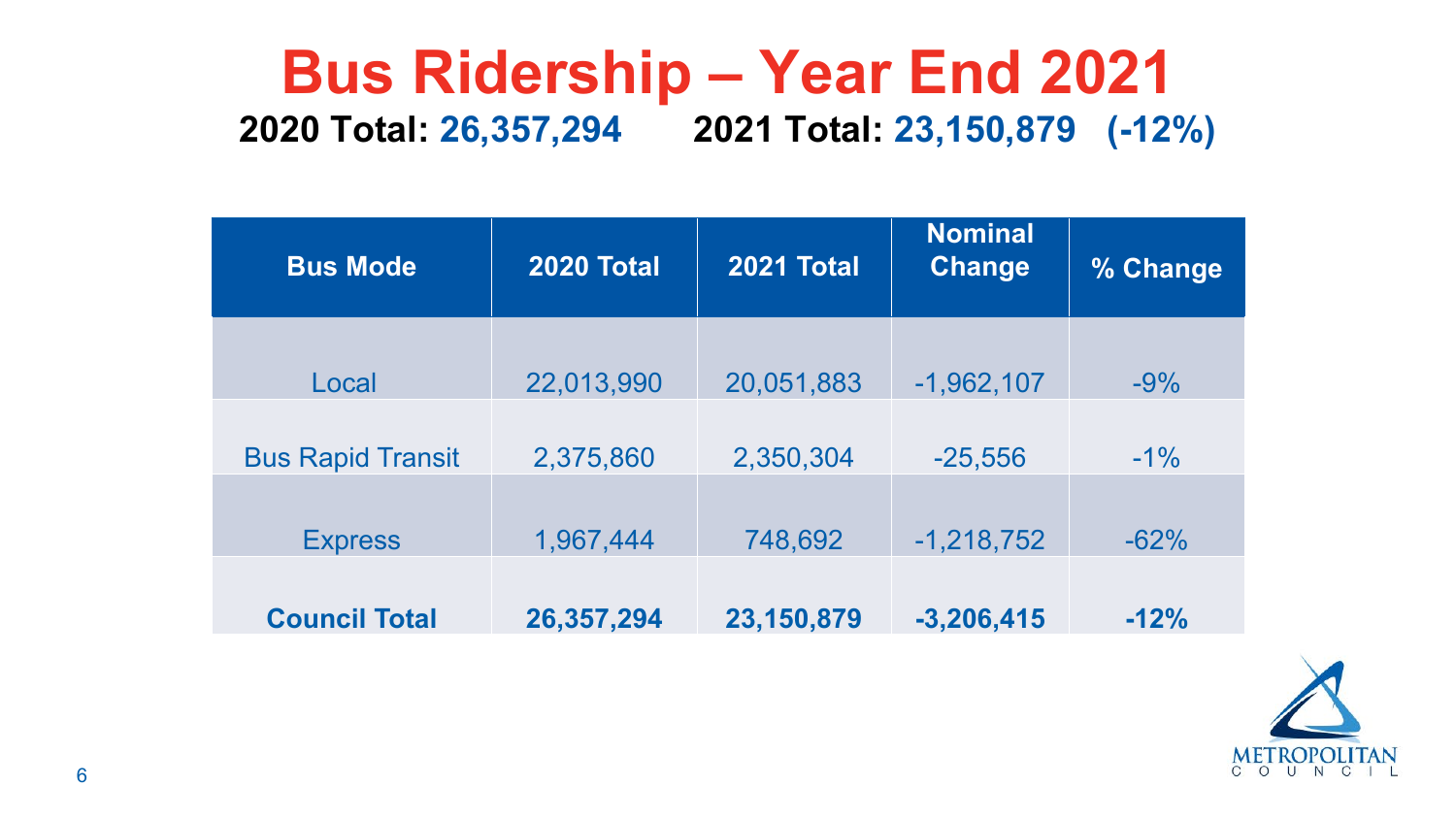### **Bus Ridership – Year End 2021 2020 Total: 26,357,294 2021 Total: 23,150,879 (-12%)**

| <b>Bus Mode</b>          | <b>2020 Total</b> | <b>2021 Total</b> | <b>Nominal</b><br><b>Change</b> | % Change |
|--------------------------|-------------------|-------------------|---------------------------------|----------|
| Local                    | 22,013,990        | 20,051,883        | $-1,962,107$                    | $-9%$    |
| <b>Bus Rapid Transit</b> | 2,375,860         | 2,350,304         | $-25,556$                       | $-1\%$   |
| <b>Express</b>           | 1,967,444         | 748,692           | $-1,218,752$                    | $-62%$   |
| <b>Council Total</b>     | 26,357,294        | 23,150,879        | $-3,206,415$                    | $-12%$   |



| <b>Bus Mode</b>          | <b>2020 Total</b> | <b>2021 Total</b> | <b>Nominal</b><br><b>Change</b> | % Chan |
|--------------------------|-------------------|-------------------|---------------------------------|--------|
| Local                    | 22,013,990        | 20,051,883        | $-1,962,107$                    | $-9%$  |
| <b>Bus Rapid Transit</b> | 2,375,860         | 2,350,304         | $-25,556$                       | $-1\%$ |
| <b>Express</b>           | 1,967,444         | 748,692           | $-1,218,752$                    | $-62%$ |
| <b>Council Total</b>     | 26,357,294        | 23,150,879        | $-3,206,415$                    | $-12%$ |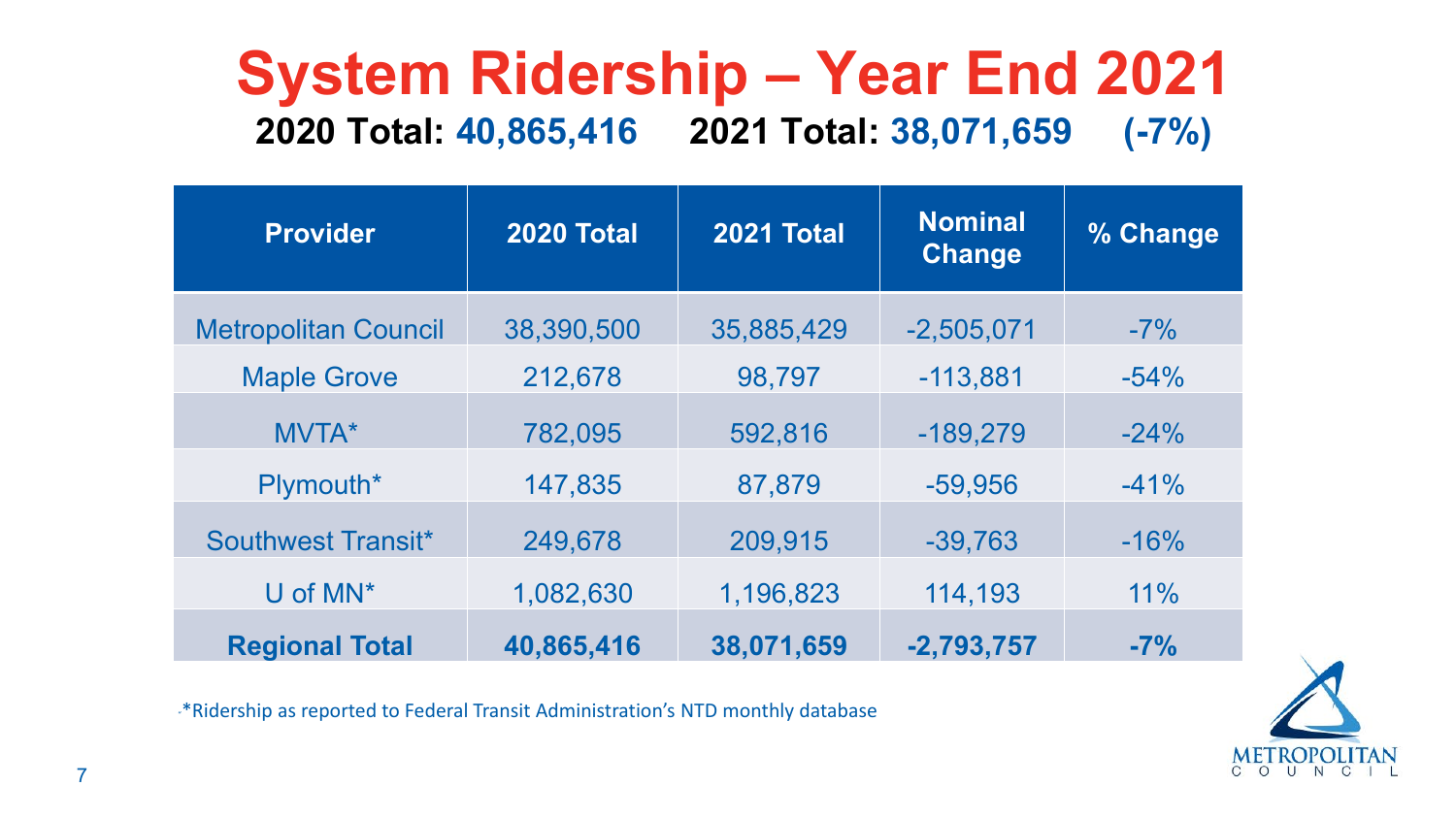

### **System Ridership – Year End 2021 2020 Total: 40,865,416 2021 Total: 38,071,659 (-7%)**

| <b>Provider</b>             | <b>2020 Total</b> | <b>2021 Total</b> | <b>Nominal</b><br>Change | % Change |
|-----------------------------|-------------------|-------------------|--------------------------|----------|
| <b>Metropolitan Council</b> | 38,390,500        | 35,885,429        | $-2,505,071$             | $-7\%$   |
| <b>Maple Grove</b>          | 212,678           | 98,797            | $-113,881$               | $-54%$   |
| <b>MVTA*</b>                | 782,095           | 592,816           | $-189,279$               | $-24%$   |
| Plymouth*                   | 147,835           | 87,879            | $-59,956$                | $-41%$   |
| Southwest Transit*          | 249,678           | 209,915           | $-39,763$                | $-16%$   |
| $U$ of $MN^*$               | 1,082,630         | 1,196,823         | 114,193                  | 11%      |
| <b>Regional Total</b>       | 40,865,416        | 38,071,659        | $-2,793,757$             | $-7%$    |

"\*Ridership as reported to Federal Transit Administration's NTD monthly database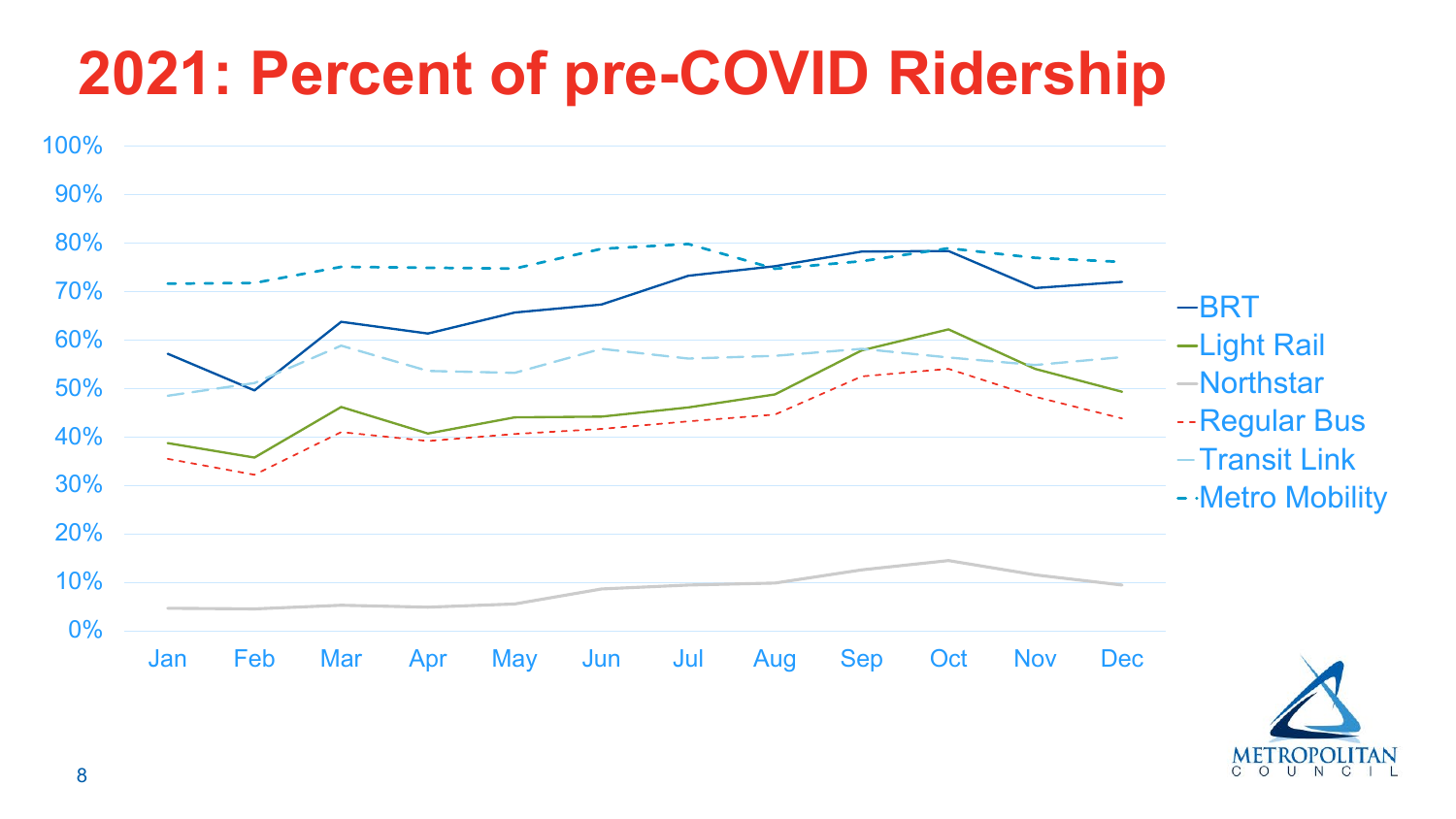$-BRT$ Light Rail Northstar -- Regular Bus -Transit Link - Metro Mobility







## **2021: Percent of pre-COVID Ridership**

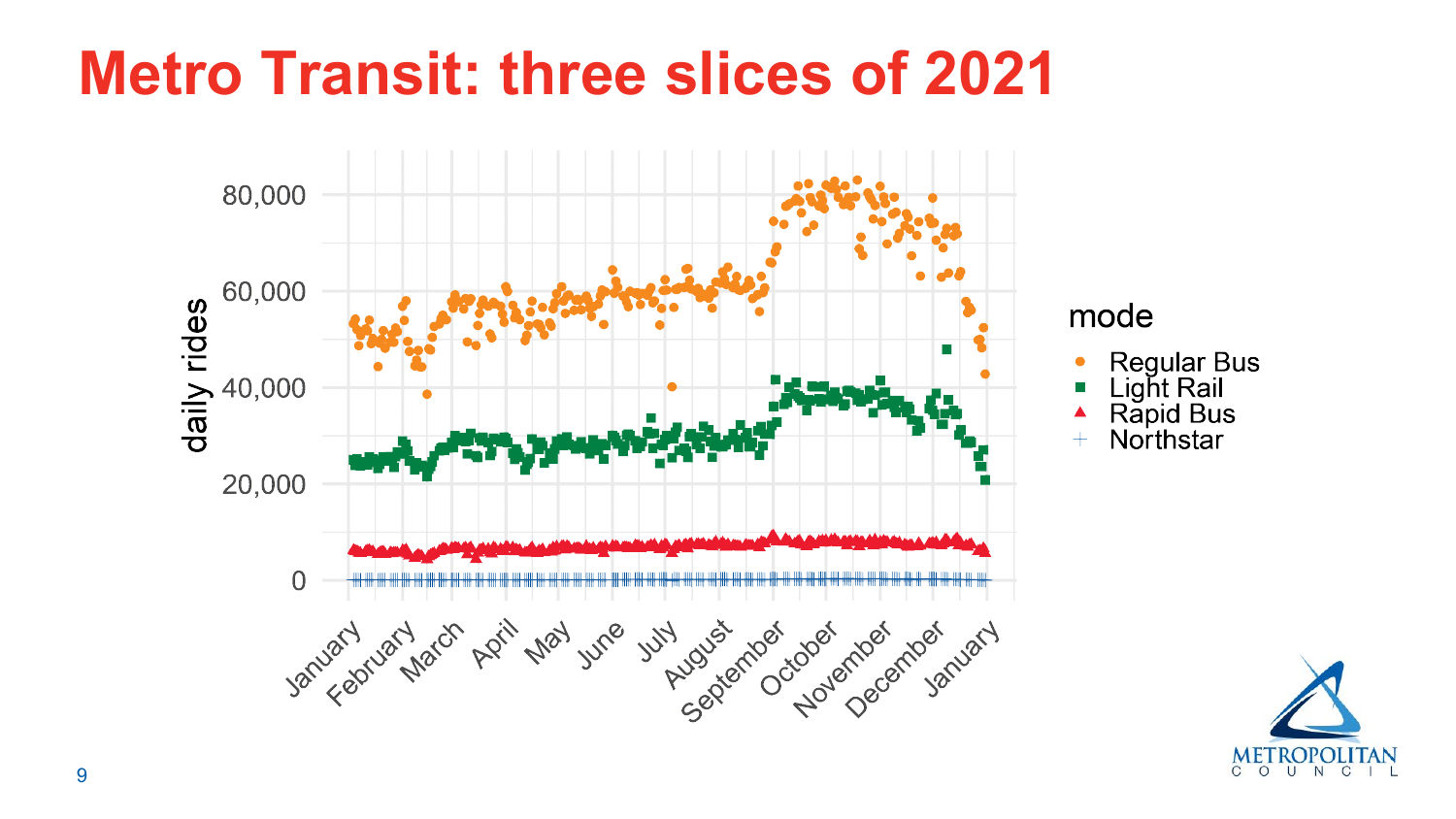- Regular Bus<br>Light Rail<br>Rapid Bus
	-
- 
- Northstar  $\! \!+\!$



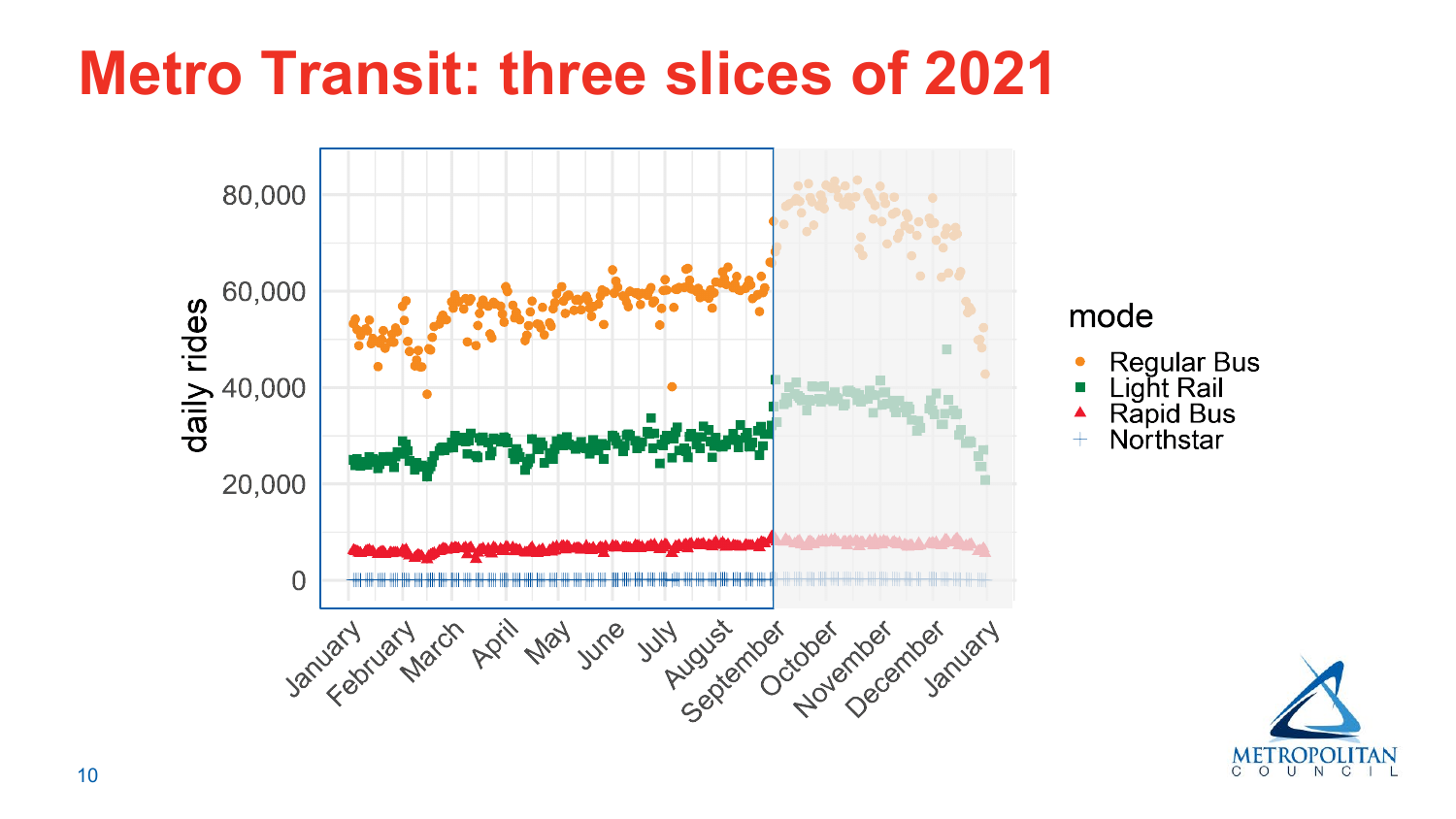- Regular Bus<br>Light Rail<br>Rapid Bus<br>Northstar
	-
- 
- $\hspace{0.1cm} + \hspace{0.1cm}$



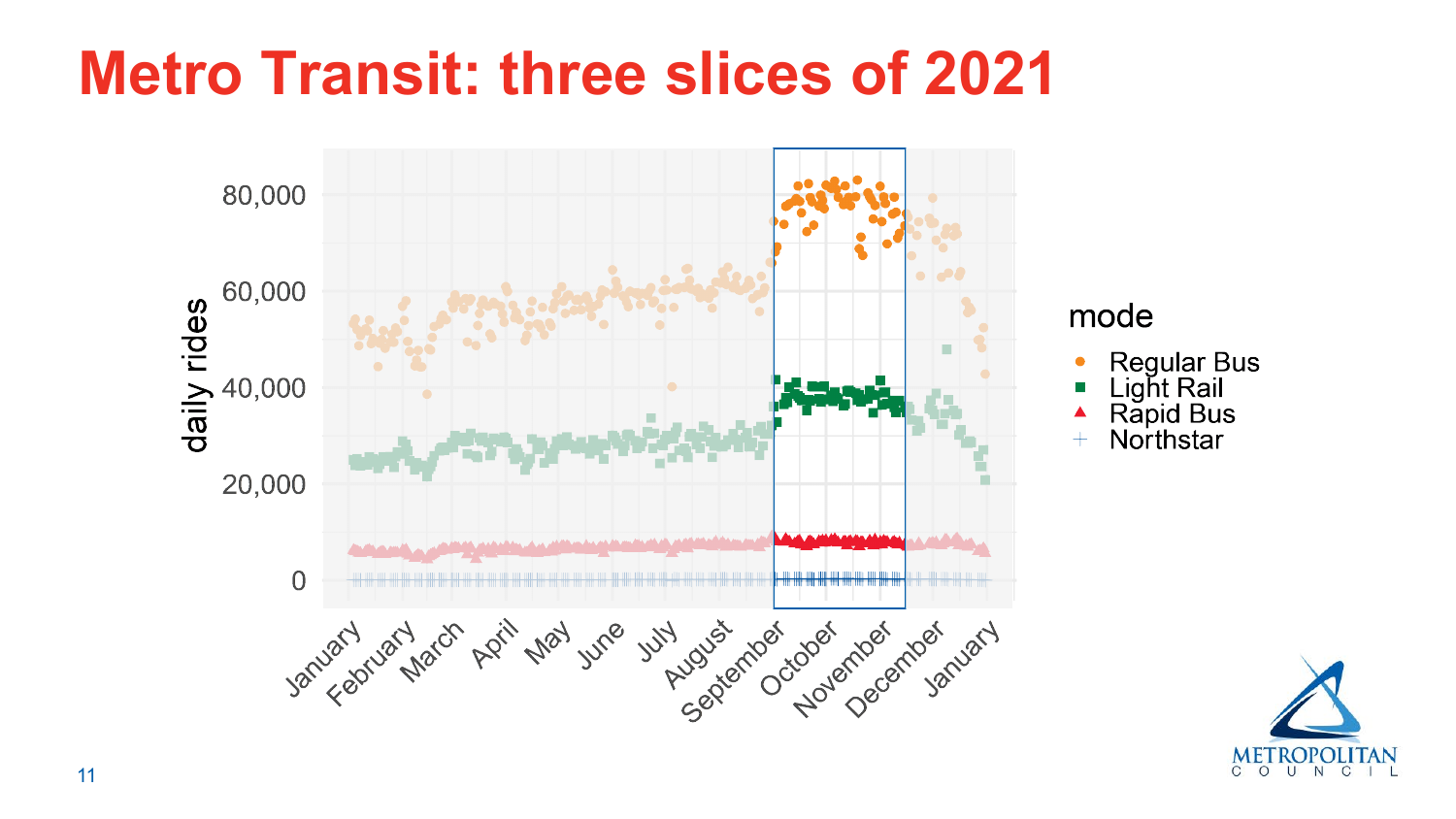- Regular Bus<br>Light Rail<br>Rapid Bus<br>Northstar
- $\mathcal{L}_{\mathcal{A}}$
- 
- $\hspace{0.1cm} + \hspace{0.1cm}$

![](_page_10_Picture_8.jpeg)

![](_page_10_Figure_1.jpeg)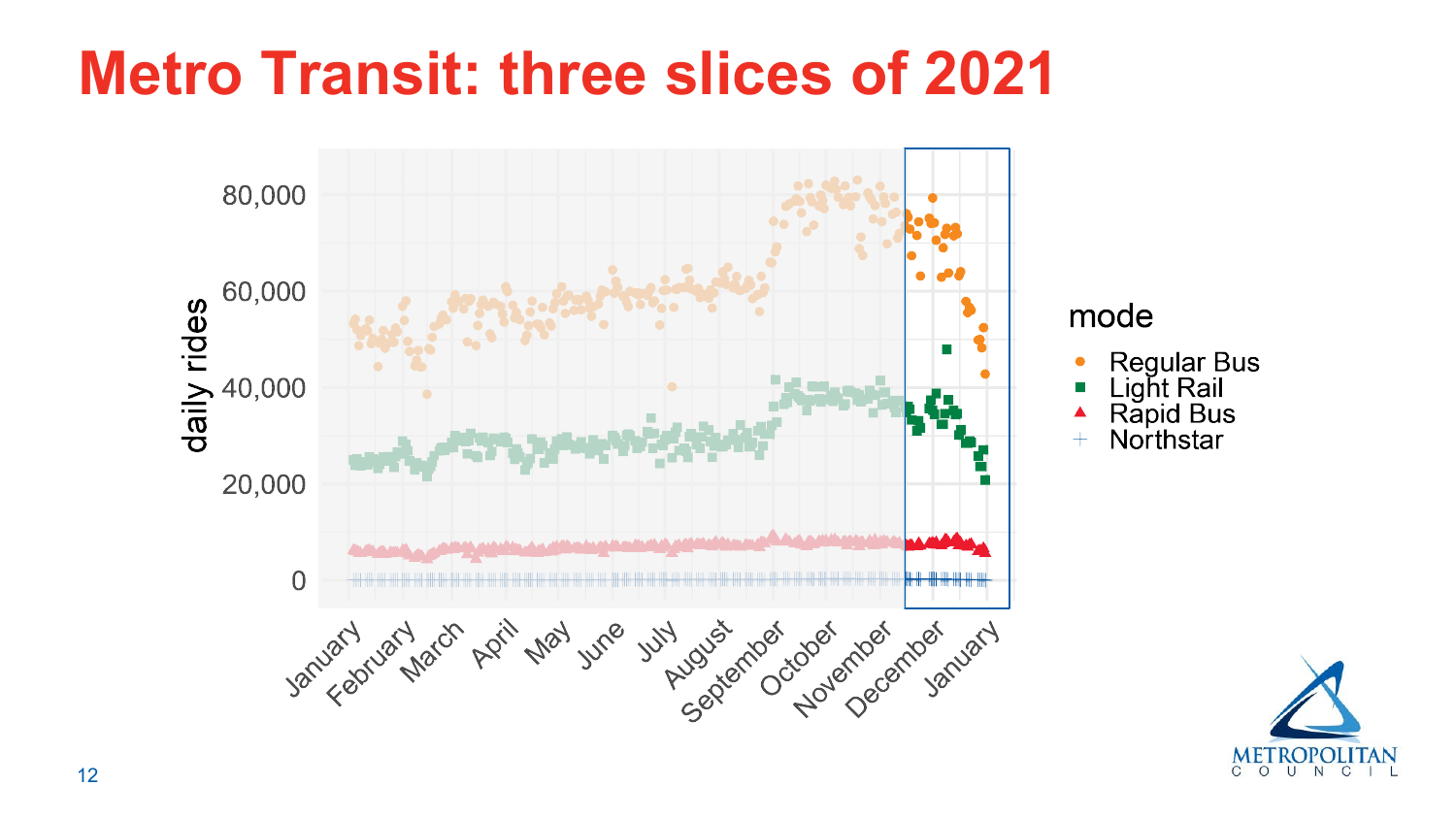$\mathcal{L}_{\mathcal{A}}$ 

- Regular Bus<br>Light Rail<br>Rapid Bus<br>Northstar
	-
- 
- $\! \!+\!$

![](_page_11_Picture_8.jpeg)

![](_page_11_Figure_1.jpeg)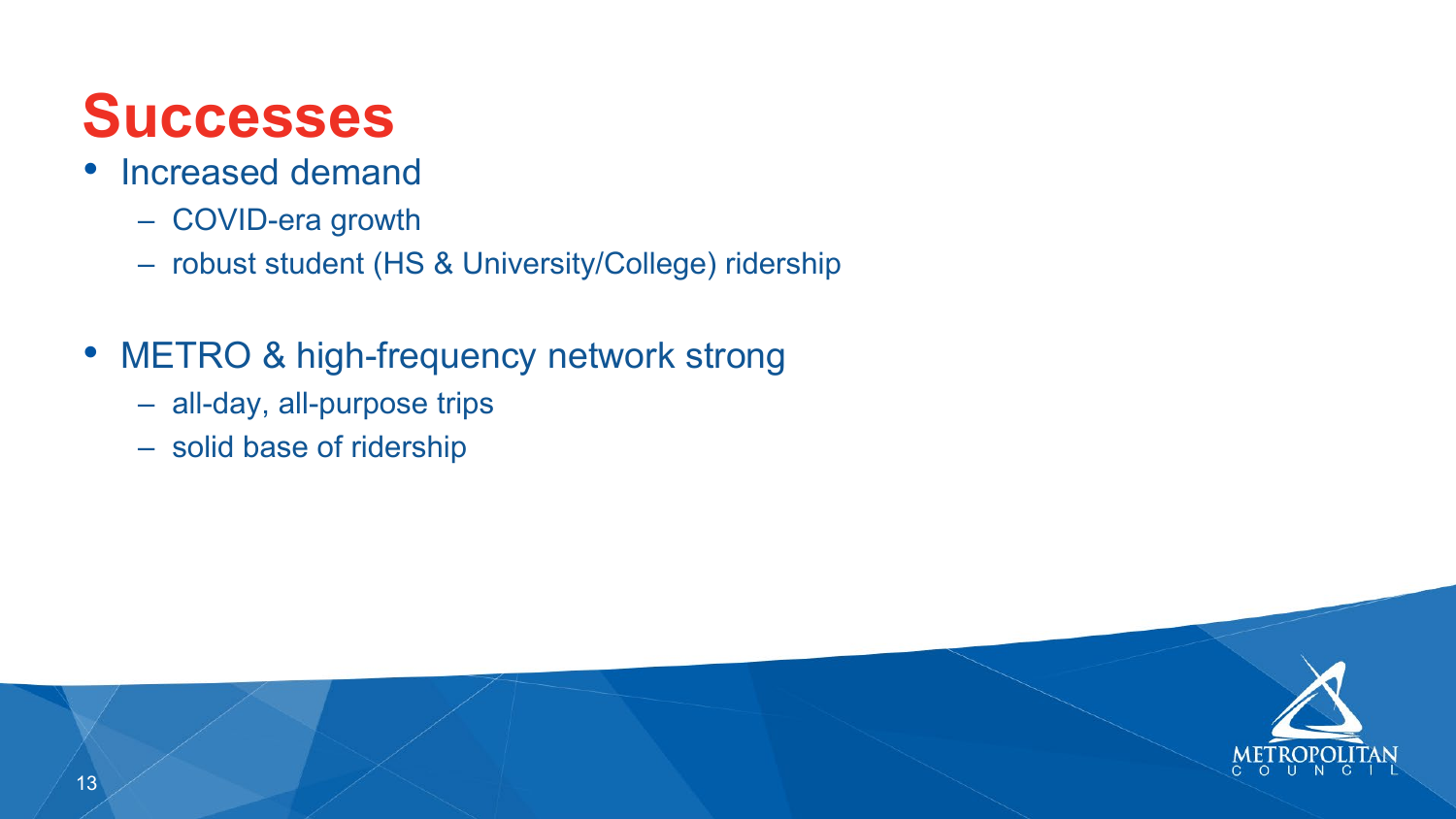![](_page_12_Picture_8.jpeg)

## **Successes**

- Increased demand
	- COVID-era growth
	- robust student (HS & University/College) ridership
- METRO & high-frequency network strong
	- all-day, all-purpose trips
	- solid base of ridership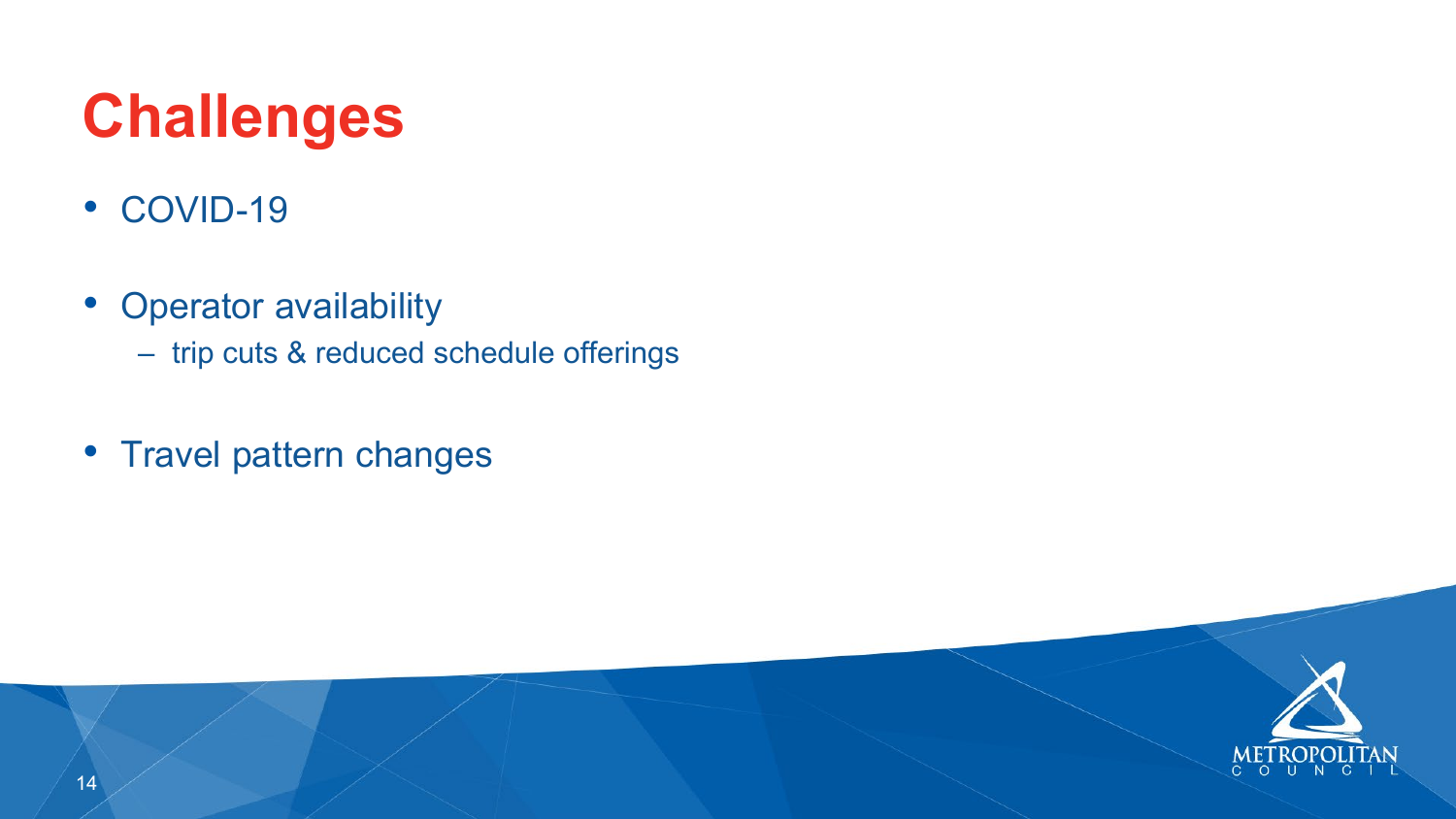![](_page_13_Picture_5.jpeg)

![](_page_13_Picture_6.jpeg)

- COVID-19
- Operator availability – trip cuts & reduced schedule offerings
- Travel pattern changes

# **Challenges**